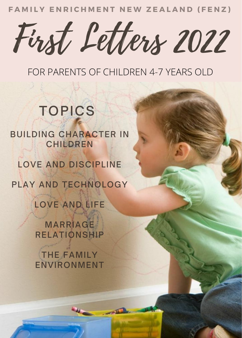**FAMILY ENRICHMENT NEW ZEALAND (FENZ)** 

First Letters 2022

FOR PARENTS OF CHILDREN 4-7 YEARS OLD

## TOPICS

## BUILDING CHARACTER IN CHILDREN

LOVE AND DISCIPLINE

PLAY AND TECHNOLOGY

LOVE AND LIFE

**MARRIAGE** RELATIONSHIP

THE FAMILY ENVIRONMENT